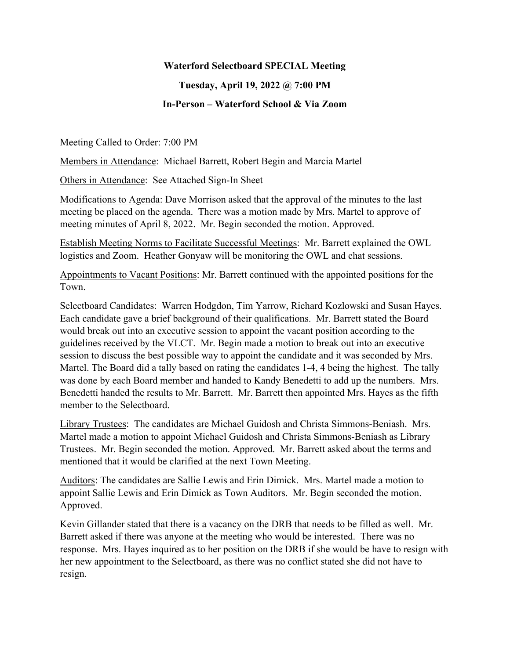## **Waterford Selectboard SPECIAL Meeting**

## **Tuesday, April 19, 2022 @ 7:00 PM In-Person – Waterford School & Via Zoom**

## Meeting Called to Order: 7:00 PM

Members in Attendance: Michael Barrett, Robert Begin and Marcia Martel

Others in Attendance: See Attached Sign-In Sheet

Modifications to Agenda: Dave Morrison asked that the approval of the minutes to the last meeting be placed on the agenda. There was a motion made by Mrs. Martel to approve of meeting minutes of April 8, 2022. Mr. Begin seconded the motion. Approved.

Establish Meeting Norms to Facilitate Successful Meetings: Mr. Barrett explained the OWL logistics and Zoom. Heather Gonyaw will be monitoring the OWL and chat sessions.

Appointments to Vacant Positions: Mr. Barrett continued with the appointed positions for the Town.

Selectboard Candidates: Warren Hodgdon, Tim Yarrow, Richard Kozlowski and Susan Hayes. Each candidate gave a brief background of their qualifications. Mr. Barrett stated the Board would break out into an executive session to appoint the vacant position according to the guidelines received by the VLCT. Mr. Begin made a motion to break out into an executive session to discuss the best possible way to appoint the candidate and it was seconded by Mrs. Martel. The Board did a tally based on rating the candidates 1-4, 4 being the highest. The tally was done by each Board member and handed to Kandy Benedetti to add up the numbers. Mrs. Benedetti handed the results to Mr. Barrett. Mr. Barrett then appointed Mrs. Hayes as the fifth member to the Selectboard.

Library Trustees: The candidates are Michael Guidosh and Christa Simmons-Beniash. Mrs. Martel made a motion to appoint Michael Guidosh and Christa Simmons-Beniash as Library Trustees. Mr. Begin seconded the motion. Approved. Mr. Barrett asked about the terms and mentioned that it would be clarified at the next Town Meeting.

Auditors: The candidates are Sallie Lewis and Erin Dimick. Mrs. Martel made a motion to appoint Sallie Lewis and Erin Dimick as Town Auditors. Mr. Begin seconded the motion. Approved.

Kevin Gillander stated that there is a vacancy on the DRB that needs to be filled as well. Mr. Barrett asked if there was anyone at the meeting who would be interested. There was no response. Mrs. Hayes inquired as to her position on the DRB if she would be have to resign with her new appointment to the Selectboard, as there was no conflict stated she did not have to resign.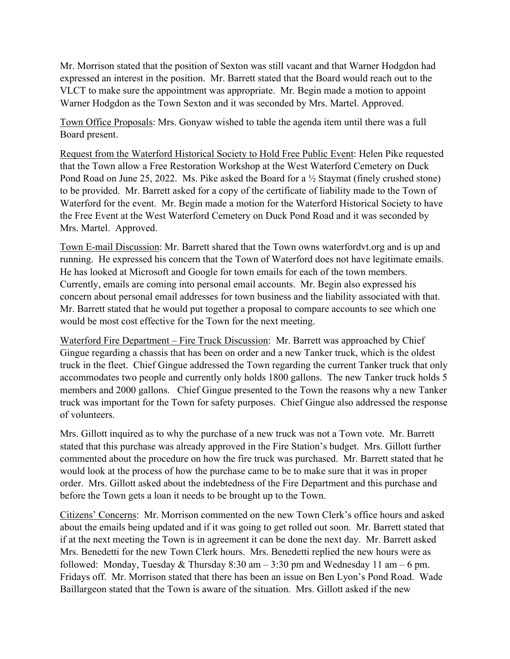Mr. Morrison stated that the position of Sexton was still vacant and that Warner Hodgdon had expressed an interest in the position. Mr. Barrett stated that the Board would reach out to the VLCT to make sure the appointment was appropriate. Mr. Begin made a motion to appoint Warner Hodgdon as the Town Sexton and it was seconded by Mrs. Martel. Approved.

Town Office Proposals: Mrs. Gonyaw wished to table the agenda item until there was a full Board present.

Request from the Waterford Historical Society to Hold Free Public Event: Helen Pike requested that the Town allow a Free Restoration Workshop at the West Waterford Cemetery on Duck Pond Road on June 25, 2022. Ms. Pike asked the Board for a ½ Staymat (finely crushed stone) to be provided. Mr. Barrett asked for a copy of the certificate of liability made to the Town of Waterford for the event. Mr. Begin made a motion for the Waterford Historical Society to have the Free Event at the West Waterford Cemetery on Duck Pond Road and it was seconded by Mrs. Martel. Approved.

Town E-mail Discussion: Mr. Barrett shared that the Town owns waterfordvt.org and is up and running. He expressed his concern that the Town of Waterford does not have legitimate emails. He has looked at Microsoft and Google for town emails for each of the town members. Currently, emails are coming into personal email accounts. Mr. Begin also expressed his concern about personal email addresses for town business and the liability associated with that. Mr. Barrett stated that he would put together a proposal to compare accounts to see which one would be most cost effective for the Town for the next meeting.

Waterford Fire Department – Fire Truck Discussion: Mr. Barrett was approached by Chief Gingue regarding a chassis that has been on order and a new Tanker truck, which is the oldest truck in the fleet. Chief Gingue addressed the Town regarding the current Tanker truck that only accommodates two people and currently only holds 1800 gallons. The new Tanker truck holds 5 members and 2000 gallons. Chief Gingue presented to the Town the reasons why a new Tanker truck was important for the Town for safety purposes. Chief Gingue also addressed the response of volunteers.

Mrs. Gillott inquired as to why the purchase of a new truck was not a Town vote. Mr. Barrett stated that this purchase was already approved in the Fire Station's budget. Mrs. Gillott further commented about the procedure on how the fire truck was purchased. Mr. Barrett stated that he would look at the process of how the purchase came to be to make sure that it was in proper order. Mrs. Gillott asked about the indebtedness of the Fire Department and this purchase and before the Town gets a loan it needs to be brought up to the Town.

Citizens' Concerns: Mr. Morrison commented on the new Town Clerk's office hours and asked about the emails being updated and if it was going to get rolled out soon. Mr. Barrett stated that if at the next meeting the Town is in agreement it can be done the next day. Mr. Barrett asked Mrs. Benedetti for the new Town Clerk hours. Mrs. Benedetti replied the new hours were as followed: Monday, Tuesday & Thursday  $8:30$  am  $-3:30$  pm and Wednesday 11 am  $-6$  pm. Fridays off. Mr. Morrison stated that there has been an issue on Ben Lyon's Pond Road. Wade Baillargeon stated that the Town is aware of the situation. Mrs. Gillott asked if the new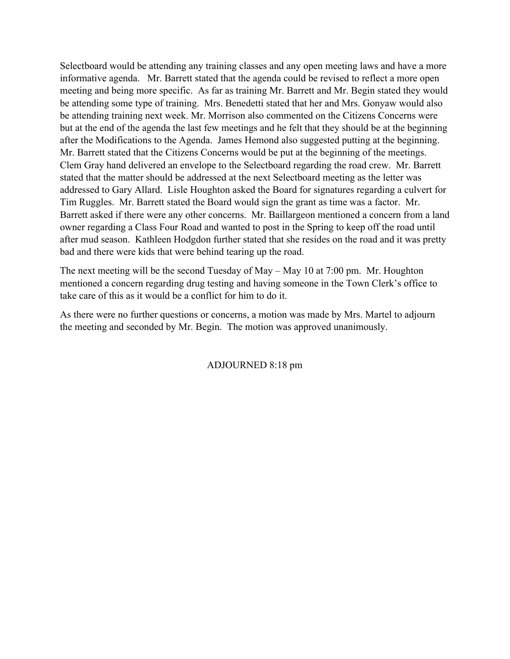Selectboard would be attending any training classes and any open meeting laws and have a more informative agenda. Mr. Barrett stated that the agenda could be revised to reflect a more open meeting and being more specific. As far as training Mr. Barrett and Mr. Begin stated they would be attending some type of training. Mrs. Benedetti stated that her and Mrs. Gonyaw would also be attending training next week. Mr. Morrison also commented on the Citizens Concerns were but at the end of the agenda the last few meetings and he felt that they should be at the beginning after the Modifications to the Agenda. James Hemond also suggested putting at the beginning. Mr. Barrett stated that the Citizens Concerns would be put at the beginning of the meetings. Clem Gray hand delivered an envelope to the Selectboard regarding the road crew. Mr. Barrett stated that the matter should be addressed at the next Selectboard meeting as the letter was addressed to Gary Allard. Lisle Houghton asked the Board for signatures regarding a culvert for Tim Ruggles. Mr. Barrett stated the Board would sign the grant as time was a factor. Mr. Barrett asked if there were any other concerns. Mr. Baillargeon mentioned a concern from a land owner regarding a Class Four Road and wanted to post in the Spring to keep off the road until after mud season. Kathleen Hodgdon further stated that she resides on the road and it was pretty bad and there were kids that were behind tearing up the road.

The next meeting will be the second Tuesday of May – May 10 at 7:00 pm. Mr. Houghton mentioned a concern regarding drug testing and having someone in the Town Clerk's office to take care of this as it would be a conflict for him to do it.

As there were no further questions or concerns, a motion was made by Mrs. Martel to adjourn the meeting and seconded by Mr. Begin. The motion was approved unanimously.

ADJOURNED 8:18 pm